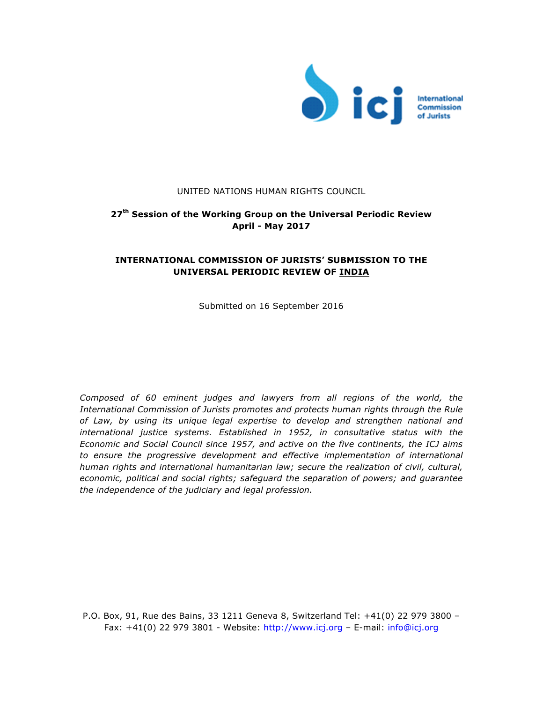

### UNITED NATIONS HUMAN RIGHTS COUNCIL

# **27th Session of the Working Group on the Universal Periodic Review April - May 2017**

## **INTERNATIONAL COMMISSION OF JURISTS' SUBMISSION TO THE UNIVERSAL PERIODIC REVIEW OF INDIA**

Submitted on 16 September 2016

*Composed of 60 eminent judges and lawyers from all regions of the world, the International Commission of Jurists promotes and protects human rights through the Rule of Law, by using its unique legal expertise to develop and strengthen national and international justice systems. Established in 1952, in consultative status with the Economic and Social Council since 1957, and active on the five continents, the ICJ aims*  to ensure the progressive development and effective implementation of international *human rights and international humanitarian law; secure the realization of civil, cultural, economic, political and social rights; safeguard the separation of powers; and guarantee the independence of the judiciary and legal profession.* 

P.O. Box, 91, Rue des Bains, 33 1211 Geneva 8, Switzerland Tel: +41(0) 22 979 3800 – Fax: +41(0) 22 979 3801 - Website: http://www.icj.org – E-mail: info@icj.org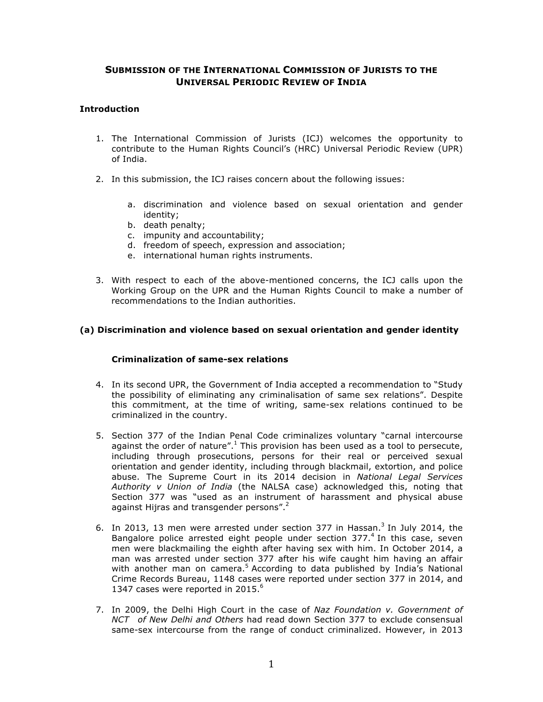### **SUBMISSION OF THE INTERNATIONAL COMMISSION OF JURISTS TO THE UNIVERSAL PERIODIC REVIEW OF INDIA**

### **Introduction**

- 1. The International Commission of Jurists (ICJ) welcomes the opportunity to contribute to the Human Rights Council's (HRC) Universal Periodic Review (UPR) of India.
- 2. In this submission, the ICJ raises concern about the following issues:
	- a. discrimination and violence based on sexual orientation and gender identity;
	- b. death penalty;
	- c. impunity and accountability;
	- d. freedom of speech, expression and association;
	- e. international human rights instruments.
- 3. With respect to each of the above-mentioned concerns, the ICJ calls upon the Working Group on the UPR and the Human Rights Council to make a number of recommendations to the Indian authorities.

#### **(a) Discrimination and violence based on sexual orientation and gender identity**

#### **Criminalization of same-sex relations**

- 4. In its second UPR, the Government of India accepted a recommendation to "Study the possibility of eliminating any criminalisation of same sex relations". Despite this commitment, at the time of writing, same-sex relations continued to be criminalized in the country.
- 5. Section 377 of the Indian Penal Code criminalizes voluntary "carnal intercourse against the order of nature".<sup>1</sup> This provision has been used as a tool to persecute, including through prosecutions, persons for their real or perceived sexual orientation and gender identity, including through blackmail, extortion, and police abuse. The Supreme Court in its 2014 decision in *National Legal Services Authority v Union of India* (the NALSA case) acknowledged this, noting that Section 377 was "used as an instrument of harassment and physical abuse against Hijras and transgender persons".<sup>2</sup>
- 6. In 2013, 13 men were arrested under section 377 in Hassan.<sup>3</sup> In July 2014, the Bangalore police arrested eight people under section  $377<sup>4</sup>$  In this case, seven men were blackmailing the eighth after having sex with him. In October 2014, a man was arrested under section 377 after his wife caught him having an affair with another man on camera.<sup>5</sup> According to data published by India's National Crime Records Bureau, 1148 cases were reported under section 377 in 2014, and 1347 cases were reported in 2015. $^6$
- 7. In 2009, the Delhi High Court in the case of *Naz Foundation v. Government of NCT of New Delhi and Others* had read down Section 377 to exclude consensual same-sex intercourse from the range of conduct criminalized. However, in 2013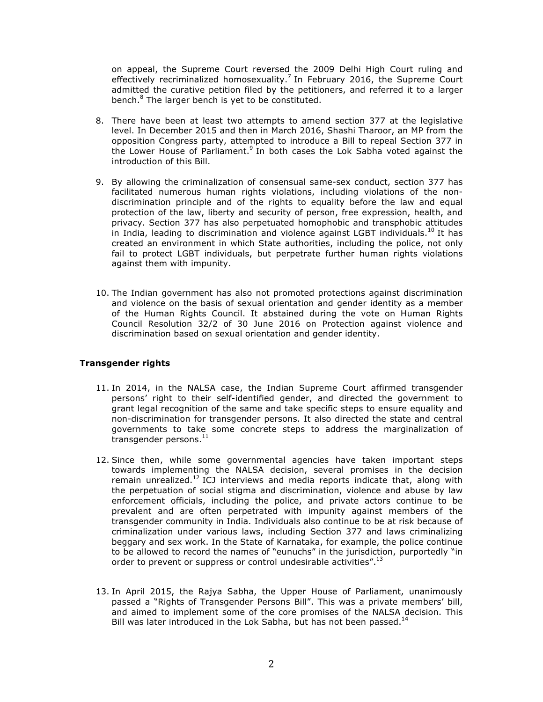on appeal, the Supreme Court reversed the 2009 Delhi High Court ruling and effectively recriminalized homosexuality.<sup>7</sup> In February 2016, the Supreme Court admitted the curative petition filed by the petitioners, and referred it to a larger bench.<sup>8</sup> The larger bench is yet to be constituted.

- 8. There have been at least two attempts to amend section 377 at the legislative level. In December 2015 and then in March 2016, Shashi Tharoor, an MP from the opposition Congress party, attempted to introduce a Bill to repeal Section 377 in the Lower House of Parliament.<sup>9</sup> In both cases the Lok Sabha voted against the introduction of this Bill.
- 9. By allowing the criminalization of consensual same-sex conduct, section 377 has facilitated numerous human rights violations, including violations of the nondiscrimination principle and of the rights to equality before the law and equal protection of the law, liberty and security of person, free expression, health, and privacy. Section 377 has also perpetuated homophobic and transphobic attitudes in India, leading to discrimination and violence against LGBT individuals.<sup>10</sup> It has created an environment in which State authorities, including the police, not only fail to protect LGBT individuals, but perpetrate further human rights violations against them with impunity.
- 10. The Indian government has also not promoted protections against discrimination and violence on the basis of sexual orientation and gender identity as a member of the Human Rights Council. It abstained during the vote on Human Rights Council Resolution 32/2 of 30 June 2016 on Protection against violence and discrimination based on sexual orientation and gender identity.

#### **Transgender rights**

- 11. In 2014, in the NALSA case, the Indian Supreme Court affirmed transgender persons' right to their self-identified gender, and directed the government to grant legal recognition of the same and take specific steps to ensure equality and non-discrimination for transgender persons. It also directed the state and central governments to take some concrete steps to address the marginalization of transgender persons. $^{11}$
- 12. Since then, while some governmental agencies have taken important steps towards implementing the NALSA decision, several promises in the decision remain unrealized.<sup>12</sup> ICJ interviews and media reports indicate that, along with the perpetuation of social stigma and discrimination, violence and abuse by law enforcement officials, including the police, and private actors continue to be prevalent and are often perpetrated with impunity against members of the transgender community in India. Individuals also continue to be at risk because of criminalization under various laws, including Section 377 and laws criminalizing beggary and sex work. In the State of Karnataka, for example, the police continue to be allowed to record the names of "eunuchs" in the jurisdiction, purportedly "in order to prevent or suppress or control undesirable activities".<sup>13</sup>
- 13. In April 2015, the Rajya Sabha, the Upper House of Parliament, unanimously passed a "Rights of Transgender Persons Bill". This was a private members' bill, and aimed to implement some of the core promises of the NALSA decision. This Bill was later introduced in the Lok Sabha, but has not been passed.<sup>14</sup>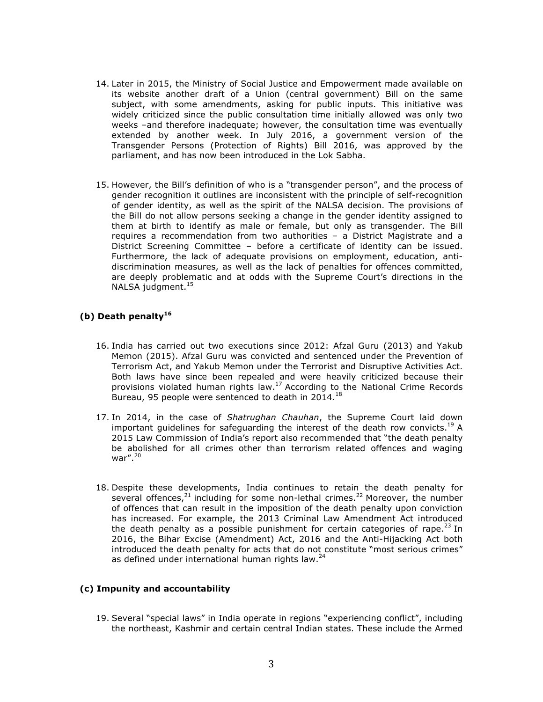- 14. Later in 2015, the Ministry of Social Justice and Empowerment made available on its website another draft of a Union (central government) Bill on the same subject, with some amendments, asking for public inputs. This initiative was widely criticized since the public consultation time initially allowed was only two weeks –and therefore inadequate; however, the consultation time was eventually extended by another week. In July 2016, a government version of the Transgender Persons (Protection of Rights) Bill 2016, was approved by the parliament, and has now been introduced in the Lok Sabha.
- 15. However, the Bill's definition of who is a "transgender person", and the process of gender recognition it outlines are inconsistent with the principle of self-recognition of gender identity, as well as the spirit of the NALSA decision. The provisions of the Bill do not allow persons seeking a change in the gender identity assigned to them at birth to identify as male or female, but only as transgender. The Bill requires a recommendation from two authorities – a District Magistrate and a District Screening Committee – before a certificate of identity can be issued. Furthermore, the lack of adequate provisions on employment, education, antidiscrimination measures, as well as the lack of penalties for offences committed, are deeply problematic and at odds with the Supreme Court's directions in the NALSA judgment.<sup>15</sup>

### **(b) Death penalty<sup>16</sup>**

- 16. India has carried out two executions since 2012: Afzal Guru (2013) and Yakub Memon (2015). Afzal Guru was convicted and sentenced under the Prevention of Terrorism Act, and Yakub Memon under the Terrorist and Disruptive Activities Act. Both laws have since been repealed and were heavily criticized because their provisions violated human rights law.<sup>17</sup> According to the National Crime Records Bureau, 95 people were sentenced to death in 2014.<sup>18</sup>
- 17. In 2014, in the case of *Shatrughan Chauhan*, the Supreme Court laid down important guidelines for safeguarding the interest of the death row convicts.<sup>19</sup> A 2015 Law Commission of India's report also recommended that "the death penalty be abolished for all crimes other than terrorism related offences and waging war". $^{20}$
- 18. Despite these developments, India continues to retain the death penalty for several offences, $21$  including for some non-lethal crimes.<sup>22</sup> Moreover, the number of offences that can result in the imposition of the death penalty upon conviction has increased. For example, the 2013 Criminal Law Amendment Act introduced the death penalty as a possible punishment for certain categories of rape.<sup>23</sup> In 2016, the Bihar Excise (Amendment) Act, 2016 and the Anti-Hijacking Act both introduced the death penalty for acts that do not constitute "most serious crimes" as defined under international human rights law. $^{24}$

#### **(c) Impunity and accountability**

19. Several "special laws" in India operate in regions "experiencing conflict", including the northeast, Kashmir and certain central Indian states. These include the Armed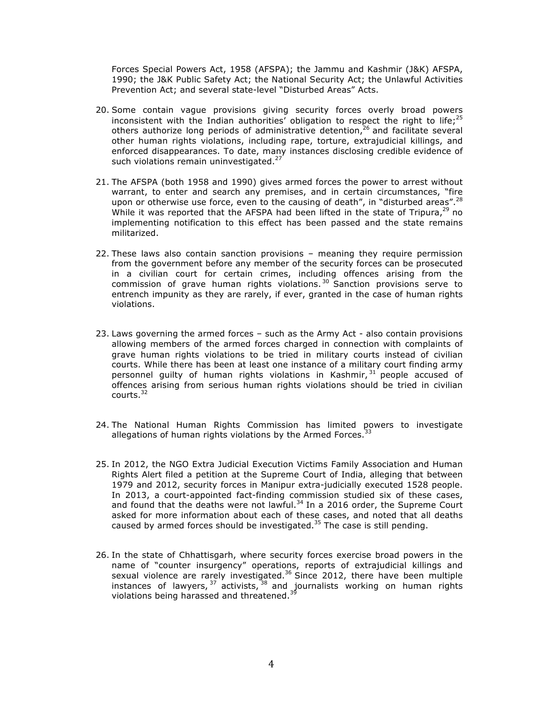Forces Special Powers Act, 1958 (AFSPA); the Jammu and Kashmir (J&K) AFSPA, 1990; the J&K Public Safety Act; the National Security Act; the Unlawful Activities Prevention Act; and several state-level "Disturbed Areas" Acts.

- 20. Some contain vague provisions giving security forces overly broad powers inconsistent with the Indian authorities' obligation to respect the right to life;<sup>25</sup> others authorize long periods of administrative detention, $26$  and facilitate several other human rights violations, including rape, torture, extrajudicial killings, and enforced disappearances. To date, many instances disclosing credible evidence of such violations remain uninvestigated.<sup>27</sup>
- 21. The AFSPA (both 1958 and 1990) gives armed forces the power to arrest without warrant, to enter and search any premises, and in certain circumstances, "fire upon or otherwise use force, even to the causing of death", in "disturbed areas".  $^{28}$ While it was reported that the AFSPA had been lifted in the state of Tripura, $^{29}$  no implementing notification to this effect has been passed and the state remains militarized.
- 22. These laws also contain sanction provisions meaning they require permission from the government before any member of the security forces can be prosecuted in a civilian court for certain crimes, including offences arising from the commission of grave human rights violations.  $30$  Sanction provisions serve to entrench impunity as they are rarely, if ever, granted in the case of human rights violations.
- 23. Laws governing the armed forces such as the Army Act also contain provisions allowing members of the armed forces charged in connection with complaints of grave human rights violations to be tried in military courts instead of civilian courts. While there has been at least one instance of a military court finding army personnel guilty of human rights violations in Kashmir, <sup>31</sup> people accused of offences arising from serious human rights violations should be tried in civilian courts.<sup>32</sup>
- 24. The National Human Rights Commission has limited powers to investigate allegations of human rights violations by the Armed Forces. $3$
- 25. In 2012, the NGO Extra Judicial Execution Victims Family Association and Human Rights Alert filed a petition at the Supreme Court of India, alleging that between 1979 and 2012, security forces in Manipur extra-judicially executed 1528 people. In 2013, a court-appointed fact-finding commission studied six of these cases, and found that the deaths were not lawful.<sup>34</sup> In a 2016 order, the Supreme Court asked for more information about each of these cases, and noted that all deaths caused by armed forces should be investigated.<sup>35</sup> The case is still pending.
- 26. In the state of Chhattisgarh, where security forces exercise broad powers in the name of "counter insurgency" operations, reports of extrajudicial killings and sexual violence are rarely investigated.<sup>36</sup> Since 2012, there have been multiple instances of lawyers,  $37$  activists,  $38$  and journalists working on human rights violations being harassed and threatened.<sup>39</sup>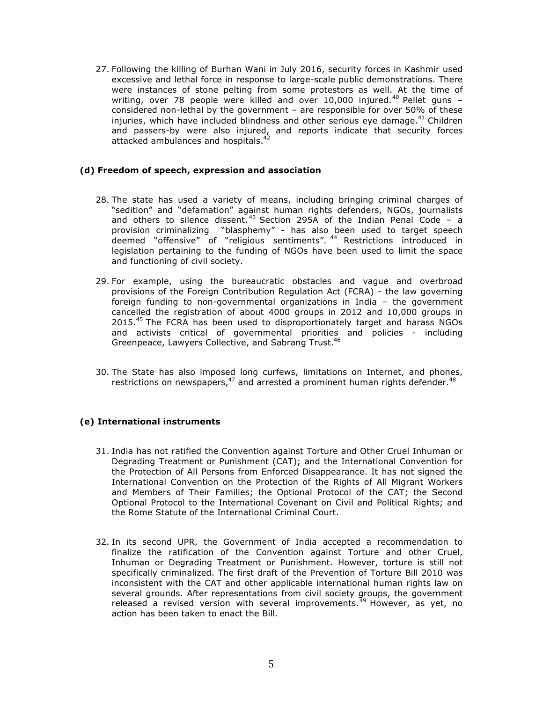27. Following the killing of Burhan Wani in July 2016, security forces in Kashmir used excessive and lethal force in response to large-scale public demonstrations. There were instances of stone pelting from some protestors as well. At the time of writing, over 78 people were killed and over 10,000 injured.<sup>40</sup> Pellet guns  $$ considered non-lethal by the government – are responsible for over 50% of these injuries, which have included blindness and other serious eye damage. $41$  Children and passers-by were also injured, and reports indicate that security forces attacked ambulances and hospitals.<sup>42</sup>

#### **(d) Freedom of speech, expression and association**

- 28. The state has used a variety of means, including bringing criminal charges of "sedition" and "defamation" against human rights defenders, NGOs, journalists and others to silence dissent.<sup>43</sup> Section 295A of the Indian Penal Code - a provision criminalizing "blasphemy" - has also been used to target speech deemed "offensive" of "religious sentiments". <sup>44</sup> Restrictions introduced in legislation pertaining to the funding of NGOs have been used to limit the space and functioning of civil society.
- 29. For example, using the bureaucratic obstacles and vague and overbroad provisions of the Foreign Contribution Regulation Act (FCRA) - the law governing foreign funding to non-governmental organizations in India – the government cancelled the registration of about 4000 groups in 2012 and 10,000 groups in 2015.<sup>45</sup> The FCRA has been used to disproportionately target and harass NGOs and activists critical of governmental priorities and policies - including Greenpeace, Lawyers Collective, and Sabrang Trust.<sup>46</sup>
- 30. The State has also imposed long curfews, limitations on Internet, and phones, restrictions on newspapers,<sup>47</sup> and arrested a prominent human rights defender.<sup>48</sup>

### **(e) International instruments**

- 31. India has not ratified the Convention against Torture and Other Cruel Inhuman or Degrading Treatment or Punishment (CAT); and the International Convention for the Protection of All Persons from Enforced Disappearance. It has not signed the International Convention on the Protection of the Rights of All Migrant Workers and Members of Their Families; the Optional Protocol of the CAT; the Second Optional Protocol to the International Covenant on Civil and Political Rights; and the Rome Statute of the International Criminal Court.
- 32. In its second UPR, the Government of India accepted a recommendation to finalize the ratification of the Convention against Torture and other Cruel, Inhuman or Degrading Treatment or Punishment. However, torture is still not specifically criminalized. The first draft of the Prevention of Torture Bill 2010 was inconsistent with the CAT and other applicable international human rights law on several grounds. After representations from civil society groups, the government released a revised version with several improvements.<sup>49</sup> However, as yet, no action has been taken to enact the Bill.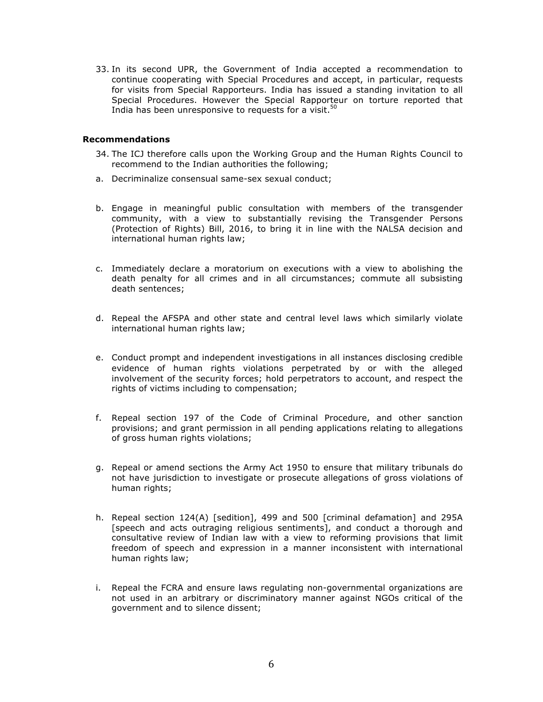33. In its second UPR, the Government of India accepted a recommendation to continue cooperating with Special Procedures and accept, in particular, requests for visits from Special Rapporteurs. India has issued a standing invitation to all Special Procedures. However the Special Rapporteur on torture reported that India has been unresponsive to requests for a visit. $50$ 

#### **Recommendations**

- 34. The ICJ therefore calls upon the Working Group and the Human Rights Council to recommend to the Indian authorities the following;
- a. Decriminalize consensual same-sex sexual conduct;
- b. Engage in meaningful public consultation with members of the transgender community, with a view to substantially revising the Transgender Persons (Protection of Rights) Bill, 2016, to bring it in line with the NALSA decision and international human rights law;
- c. Immediately declare a moratorium on executions with a view to abolishing the death penalty for all crimes and in all circumstances; commute all subsisting death sentences;
- d. Repeal the AFSPA and other state and central level laws which similarly violate international human rights law;
- e. Conduct prompt and independent investigations in all instances disclosing credible evidence of human rights violations perpetrated by or with the alleged involvement of the security forces; hold perpetrators to account, and respect the rights of victims including to compensation;
- f. Repeal section 197 of the Code of Criminal Procedure, and other sanction provisions; and grant permission in all pending applications relating to allegations of gross human rights violations;
- g. Repeal or amend sections the Army Act 1950 to ensure that military tribunals do not have jurisdiction to investigate or prosecute allegations of gross violations of human rights;
- h. Repeal section 124(A) [sedition], 499 and 500 [criminal defamation] and 295A [speech and acts outraging religious sentiments], and conduct a thorough and consultative review of Indian law with a view to reforming provisions that limit freedom of speech and expression in a manner inconsistent with international human rights law;
- i. Repeal the FCRA and ensure laws regulating non-governmental organizations are not used in an arbitrary or discriminatory manner against NGOs critical of the government and to silence dissent;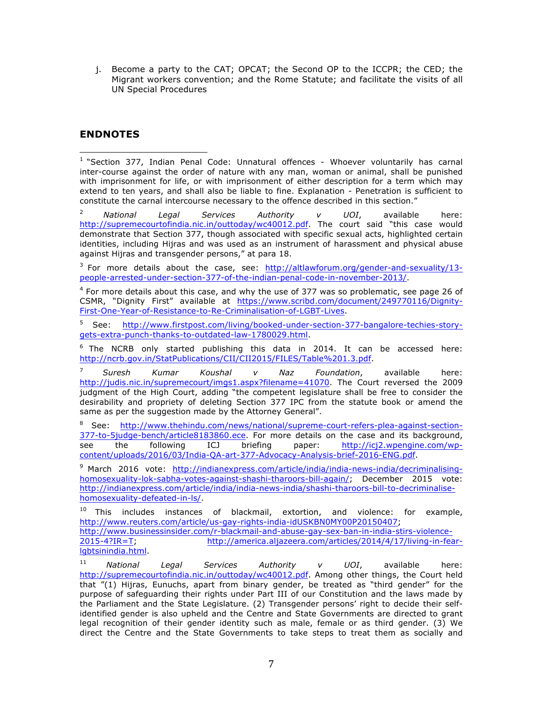j. Become a party to the CAT; OPCAT; the Second OP to the ICCPR; the CED; the Migrant workers convention; and the Rome Statute; and facilitate the visits of all UN Special Procedures

# **ENDNOTES**

 <sup>1</sup> "Section 377, Indian Penal Code: Unnatural offences - Whoever voluntarily has carnal inter-course against the order of nature with any man, woman or animal, shall be punished with imprisonment for life, or with imprisonment of either description for a term which may extend to ten years, and shall also be liable to fine. Explanation - Penetration is sufficient to constitute the carnal intercourse necessary to the offence described in this section."

<sup>2</sup> *National Legal Services Authority v UOI*, available here: http://supremecourtofindia.nic.in/outtoday/wc40012.pdf. The court said "this case would demonstrate that Section 377, though associated with specific sexual acts, highlighted certain identities, including Hijras and was used as an instrument of harassment and physical abuse against Hijras and transgender persons," at para 18.

<sup>3</sup> For more details about the case, see: http://altlawforum.org/gender-and-sexuality/13people-arrested-under-section-377-of-the-indian-penal-code-in-november-2013/.

 $4$  For more details about this case, and why the use of 377 was so problematic, see page 26 of CSMR, "Dignity First" available at https://www.scribd.com/document/249770116/Dignity-First-One-Year-of-Resistance-to-Re-Criminalisation-of-LGBT-Lives.

<sup>5</sup> See: http://www.firstpost.com/living/booked-under-section-377-bangalore-techies-storygets-extra-punch-thanks-to-outdated-law-1780029.html.

 $6$  The NCRB only started publishing this data in 2014. It can be accessed here: http://ncrb.gov.in/StatPublications/CII/CII2015/FILES/Table%201.3.pdf.

<sup>7</sup> *Suresh Kumar Koushal v Naz Foundation*, available here: http://judis.nic.in/supremecourt/imgs1.aspx?filename=41070. The Court reversed the 2009 judgment of the High Court, adding "the competent legislature shall be free to consider the desirability and propriety of deleting Section 377 IPC from the statute book or amend the same as per the suggestion made by the Attorney General".

8 See: http://www.thehindu.com/news/national/supreme-court-refers-plea-against-section-377-to-5judge-bench/article8183860.ece. For more details on the case and its background, see the following ICJ briefing paper: http://icj2.wpengine.com/wpcontent/uploads/2016/03/India-QA-art-377-Advocacy-Analysis-brief-2016-ENG.pdf.

<sup>9</sup> March 2016 vote: http://indianexpress.com/article/india/india-news-india/decriminalisinghomosexuality-lok-sabha-votes-against-shashi-tharoors-bill-again/; December 2015 vote: http://indianexpress.com/article/india/india-news-india/shashi-tharoors-bill-to-decriminalisehomosexuality-defeated-in-ls/.

 $10$  This includes instances of blackmail, extortion, and violence: for example, http://www.reuters.com/article/us-gay-rights-india-idUSKBN0MY00P20150407; http://www.businessinsider.com/r-blackmail-and-abuse-gay-sex-ban-in-india-stirs-violence-2015-4?IR=T; http://america.aljazeera.com/articles/2014/4/17/living-in-fearlgbtsinindia.html.

<sup>11</sup> *National Legal Services Authority v UOI*, available here: http://supremecourtofindia.nic.in/outtoday/wc40012.pdf. Among other things, the Court held that "(1) Hijras, Eunuchs, apart from binary gender, be treated as "third gender" for the purpose of safeguarding their rights under Part III of our Constitution and the laws made by the Parliament and the State Legislature. (2) Transgender persons' right to decide their selfidentified gender is also upheld and the Centre and State Governments are directed to grant legal recognition of their gender identity such as male, female or as third gender. (3) We direct the Centre and the State Governments to take steps to treat them as socially and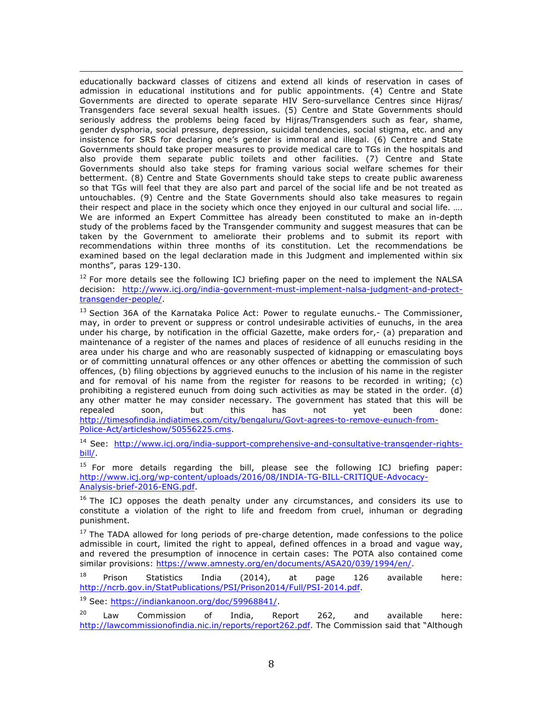<u> 1989 - Andrea Santa Andrea Andrea Andrea Andrea Andrea Andrea Andrea Andrea Andrea Andrea Andrea Andrea Andr</u> educationally backward classes of citizens and extend all kinds of reservation in cases of admission in educational institutions and for public appointments. (4) Centre and State Governments are directed to operate separate HIV Sero-survellance Centres since Hijras/ Transgenders face several sexual health issues. (5) Centre and State Governments should seriously address the problems being faced by Hijras/Transgenders such as fear, shame, gender dysphoria, social pressure, depression, suicidal tendencies, social stigma, etc. and any insistence for SRS for declaring one's gender is immoral and illegal. (6) Centre and State Governments should take proper measures to provide medical care to TGs in the hospitals and also provide them separate public toilets and other facilities. (7) Centre and State Governments should also take steps for framing various social welfare schemes for their betterment. (8) Centre and State Governments should take steps to create public awareness so that TGs will feel that they are also part and parcel of the social life and be not treated as untouchables. (9) Centre and the State Governments should also take measures to regain their respect and place in the society which once they enjoyed in our cultural and social life. .... We are informed an Expert Committee has already been constituted to make an in-depth study of the problems faced by the Transgender community and suggest measures that can be taken by the Government to ameliorate their problems and to submit its report with recommendations within three months of its constitution. Let the recommendations be examined based on the legal declaration made in this Judgment and implemented within six months", paras 129-130.

 $12$  For more details see the following ICJ briefing paper on the need to implement the NALSA decision: http://www.icj.org/india-government-must-implement-nalsa-judgment-and-protecttransgender-people/.

<sup>13</sup> Section 36A of the Karnataka Police Act: Power to regulate eunuchs.- The Commissioner, may, in order to prevent or suppress or control undesirable activities of eunuchs, in the area under his charge, by notification in the official Gazette, make orders for,- (a) preparation and maintenance of a register of the names and places of residence of all eunuchs residing in the area under his charge and who are reasonably suspected of kidnapping or emasculating boys or of committing unnatural offences or any other offences or abetting the commission of such offences, (b) filing objections by aggrieved eunuchs to the inclusion of his name in the register and for removal of his name from the register for reasons to be recorded in writing; (c) prohibiting a registered eunuch from doing such activities as may be stated in the order. (d) any other matter he may consider necessary. The government has stated that this will be repealed soon, but this has not yet been done: http://timesofindia.indiatimes.com/city/bengaluru/Govt-agrees-to-remove-eunuch-from-Police-Act/articleshow/50556225.cms.

<sup>14</sup> See: http://www.icj.org/india-support-comprehensive-and-consultative-transgender-rightsbill/.

<sup>15</sup> For more details regarding the bill, please see the following ICJ briefing paper: http://www.icj.org/wp-content/uploads/2016/08/INDIA-TG-BILL-CRITIQUE-Advocacy-Analysis-brief-2016-ENG.pdf.

 $16$  The ICJ opposes the death penalty under any circumstances, and considers its use to constitute a violation of the right to life and freedom from cruel, inhuman or degrading punishment.

<sup>17</sup> The TADA allowed for long periods of pre-charge detention, made confessions to the police admissible in court, limited the right to appeal, defined offences in a broad and vague way, and revered the presumption of innocence in certain cases: The POTA also contained come similar provisions: https://www.amnesty.org/en/documents/ASA20/039/1994/en/.

 $^{18}$  Prison Statistics India (2014), at page 126 available here: http://ncrb.gov.in/StatPublications/PSI/Prison2014/Full/PSI-2014.pdf.

<sup>19</sup> See: https://indiankanoon.org/doc/59968841/.

 $20$  Law Commission of India, Report 262, and available here: http://lawcommissionofindia.nic.in/reports/report262.pdf. The Commission said that "Although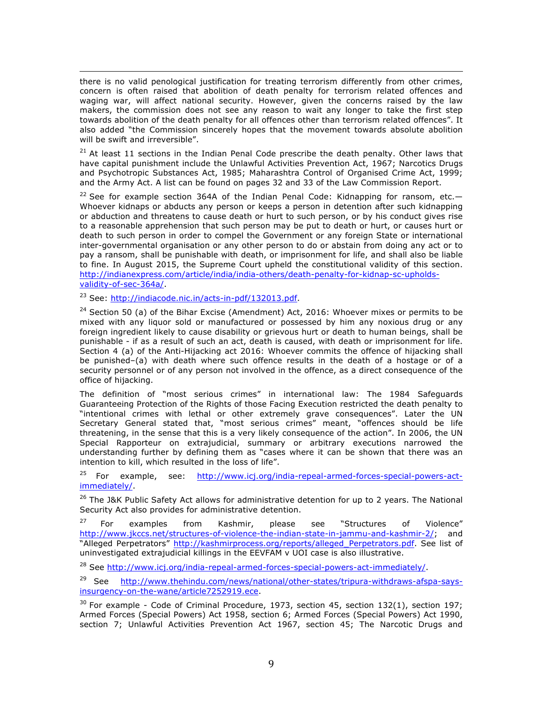<u> 1989 - Andrea Santa Andrea Andrea Andrea Andrea Andrea Andrea Andrea Andrea Andrea Andrea Andrea Andrea Andr</u> there is no valid penological justification for treating terrorism differently from other crimes, concern is often raised that abolition of death penalty for terrorism related offences and waging war, will affect national security. However, given the concerns raised by the law makers, the commission does not see any reason to wait any longer to take the first step towards abolition of the death penalty for all offences other than terrorism related offences". It also added "the Commission sincerely hopes that the movement towards absolute abolition will be swift and irreversible".

 $21$  At least 11 sections in the Indian Penal Code prescribe the death penalty. Other laws that have capital punishment include the Unlawful Activities Prevention Act, 1967; Narcotics Drugs and Psychotropic Substances Act, 1985; Maharashtra Control of Organised Crime Act, 1999; and the Army Act. A list can be found on pages 32 and 33 of the Law Commission Report.

<sup>22</sup> See for example section 364A of the Indian Penal Code: Kidnapping for ransom, etc. $-$ Whoever kidnaps or abducts any person or keeps a person in detention after such kidnapping or abduction and threatens to cause death or hurt to such person, or by his conduct gives rise to a reasonable apprehension that such person may be put to death or hurt, or causes hurt or death to such person in order to compel the Government or any foreign State or international inter-governmental organisation or any other person to do or abstain from doing any act or to pay a ransom, shall be punishable with death, or imprisonment for life, and shall also be liable to fine. In August 2015, the Supreme Court upheld the constitutional validity of this section. http://indianexpress.com/article/india/india-others/death-penalty-for-kidnap-sc-upholdsvalidity-of-sec-364a/.

<sup>23</sup> See: http://indiacode.nic.in/acts-in-pdf/132013.pdf.

 $24$  Section 50 (a) of the Bihar Excise (Amendment) Act, 2016: Whoever mixes or permits to be mixed with any liquor sold or manufactured or possessed by him any noxious drug or any foreign ingredient likely to cause disability or grievous hurt or death to human beings, shall be punishable - if as a result of such an act, death is caused, with death or imprisonment for life. Section 4 (a) of the Anti-Hijacking act 2016: Whoever commits the offence of hijacking shall be punished–(a) with death where such offence results in the death of a hostage or of a security personnel or of any person not involved in the offence, as a direct consequence of the office of hijacking.

The definition of "most serious crimes" in international law: The 1984 Safeguards Guaranteeing Protection of the Rights of those Facing Execution restricted the death penalty to "intentional crimes with lethal or other extremely grave consequences". Later the UN Secretary General stated that, "most serious crimes" meant, "offences should be life threatening, in the sense that this is a very likely consequence of the action". In 2006, the UN Special Rapporteur on extrajudicial, summary or arbitrary executions narrowed the understanding further by defining them as "cases where it can be shown that there was an intention to kill, which resulted in the loss of life".

<sup>25</sup> For example, see: http://www.icj.org/india-repeal-armed-forces-special-powers-actimmediately/.

<sup>26</sup> The J&K Public Safety Act allows for administrative detention for up to 2 years. The National Security Act also provides for administrative detention.

<sup>27</sup> For examples from Kashmir, please see "Structures of Violence" http://www.jkccs.net/structures-of-violence-the-indian-state-in-jammu-and-kashmir-2/; and "Alleged Perpetrators" http://kashmirprocess.org/reports/alleged\_Perpetrators.pdf. See list of uninvestigated extrajudicial killings in the EEVFAM v UOI case is also illustrative.

<sup>28</sup> See http://www.icj.org/india-repeal-armed-forces-special-powers-act-immediately/.

<sup>29</sup> See http://www.thehindu.com/news/national/other-states/tripura-withdraws-afspa-saysinsurgency-on-the-wane/article7252919.ece.

 $30$  For example - Code of Criminal Procedure, 1973, section 45, section 132(1), section 197; Armed Forces (Special Powers) Act 1958, section 6; Armed Forces (Special Powers) Act 1990, section 7; Unlawful Activities Prevention Act 1967, section 45; The Narcotic Drugs and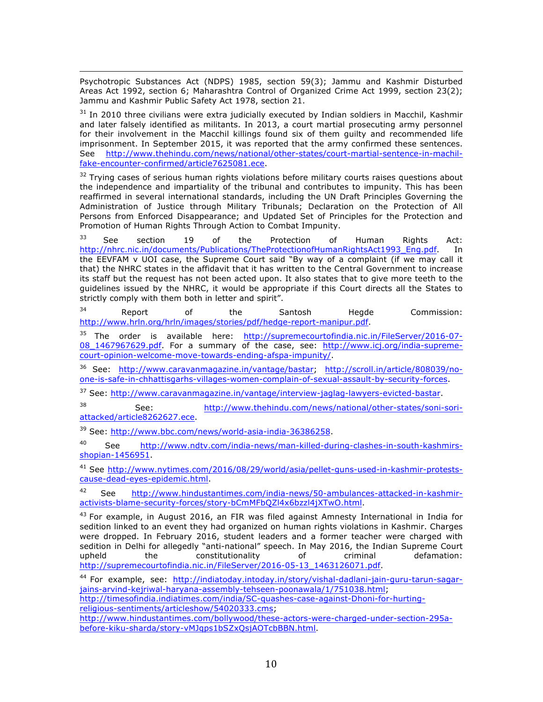<u> 1989 - Andrea Santa Andrea Andrea Andrea Andrea Andrea Andrea Andrea Andrea Andrea Andrea Andrea Andrea Andr</u> Psychotropic Substances Act (NDPS) 1985, section 59(3); Jammu and Kashmir Disturbed Areas Act 1992, section 6; Maharashtra Control of Organized Crime Act 1999, section 23(2); Jammu and Kashmir Public Safety Act 1978, section 21.

 $31$  In 2010 three civilians were extra judicially executed by Indian soldiers in Macchil, Kashmir and later falsely identified as militants. In 2013, a court martial prosecuting army personnel for their involvement in the Macchil killings found six of them guilty and recommended life imprisonment. In September 2015, it was reported that the army confirmed these sentences. See http://www.thehindu.com/news/national/other-states/court-martial-sentence-in-machilfake-encounter-confirmed/article7625081.ece.

 $32$  Trying cases of serious human rights violations before military courts raises questions about the independence and impartiality of the tribunal and contributes to impunity. This has been reaffirmed in several international standards, including the UN Draft Principles Governing the Administration of Justice through Military Tribunals; Declaration on the Protection of All Persons from Enforced Disappearance; and Updated Set of Principles for the Protection and Promotion of Human Rights Through Action to Combat Impunity.

 $33$  See section 19 of the Protection of Human Rights Act: http://nhrc.nic.in/documents/Publications/TheProtectionofHumanRightsAct1993 Eng.pdf. In the EEVFAM v UOI case, the Supreme Court said "By way of a complaint (if we may call it that) the NHRC states in the affidavit that it has written to the Central Government to increase its staff but the request has not been acted upon. It also states that to give more teeth to the guidelines issued by the NHRC, it would be appropriate if this Court directs all the States to strictly comply with them both in letter and spirit".

 $34$  Report of the Santosh Hegde Commission: http://www.hrln.org/hrln/images/stories/pdf/hedge-report-manipur.pdf.

<sup>35</sup> The order is available here: http://supremecourtofindia.nic.in/FileServer/2016-07-08\_1467967629.pdf. For a summary of the case, see: http://www.icj.org/india-supremecourt-opinion-welcome-move-towards-ending-afspa-impunity/.

<sup>36</sup> See: http://www.caravanmagazine.in/vantage/bastar; http://scroll.in/article/808039/noone-is-safe-in-chhattisgarhs-villages-women-complain-of-sexual-assault-by-security-forces.

<sup>37</sup> See: http://www.caravanmagazine.in/vantage/interview-jaglag-lawyers-evicted-bastar.

<sup>38</sup> See: http://www.thehindu.com/news/national/other-states/soni-soriattacked/article8262627.ece.

<sup>39</sup> See: http://www.bbc.com/news/world-asia-india-36386258.

<sup>40</sup> See http://www.ndtv.com/india-news/man-killed-during-clashes-in-south-kashmirsshopian-1456951.

<sup>41</sup> See http://www.nytimes.com/2016/08/29/world/asia/pellet-guns-used-in-kashmir-protestscause-dead-eyes-epidemic.html.

42 See http://www.hindustantimes.com/india-news/50-ambulances-attacked-in-kashmiractivists-blame-security-forces/story-bCmMFbQZl4x6bzzl4jXTwO.html.

 $43$  For example, in August 2016, an FIR was filed against Amnesty International in India for sedition linked to an event they had organized on human rights violations in Kashmir. Charges were dropped. In February 2016, student leaders and a former teacher were charged with sedition in Delhi for allegedly "anti-national" speech. In May 2016, the Indian Supreme Court upheld the constitutionality of criminal defamation: http://supremecourtofindia.nic.in/FileServer/2016-05-13\_1463126071.pdf.

<sup>44</sup> For example, see: http://indiatoday.intoday.in/story/vishal-dadlani-jain-guru-tarun-sagarjains-arvind-kejriwal-haryana-assembly-tehseen-poonawala/1/751038.html; http://timesofindia.indiatimes.com/india/SC-quashes-case-against-Dhoni-for-hurting-

religious-sentiments/articleshow/54020333.cms;

http://www.hindustantimes.com/bollywood/these-actors-were-charged-under-section-295abefore-kiku-sharda/story-vMJqps1bSZxQsjAOTcbBBN.html.